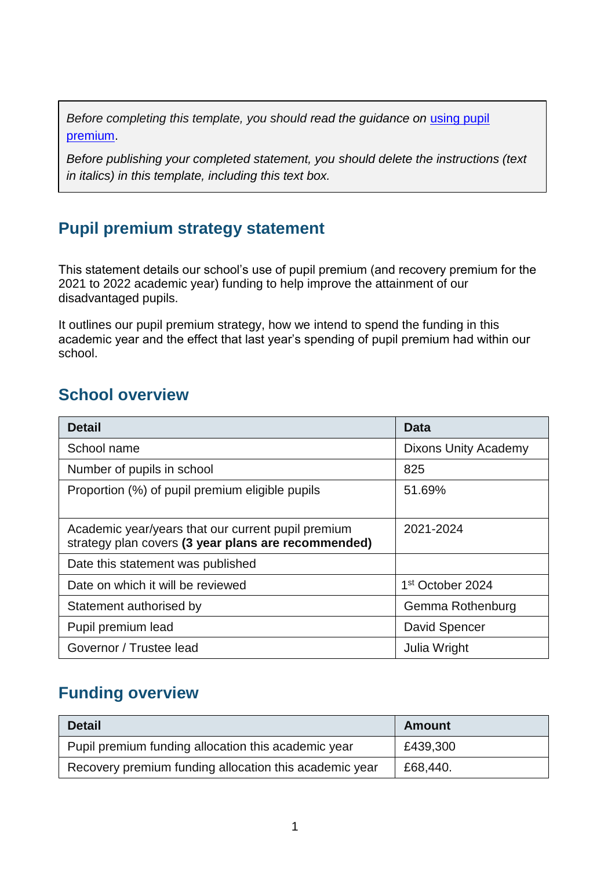*Before completing this template, you should read the guidance on using pupil* [premium.](https://www.gov.uk/guidance/pupil-premium-effective-use-and-accountability#online-statements)

*Before publishing your completed statement, you should delete the instructions (text in italics) in this template, including this text box.*

### **Pupil premium strategy statement**

This statement details our school's use of pupil premium (and recovery premium for the 2021 to 2022 academic year) funding to help improve the attainment of our disadvantaged pupils.

It outlines our pupil premium strategy, how we intend to spend the funding in this academic year and the effect that last year's spending of pupil premium had within our school.

#### **School overview**

| <b>Detail</b>                                                                                             | Data                         |
|-----------------------------------------------------------------------------------------------------------|------------------------------|
| School name                                                                                               | <b>Dixons Unity Academy</b>  |
| Number of pupils in school                                                                                | 825                          |
| Proportion (%) of pupil premium eligible pupils                                                           | 51.69%                       |
|                                                                                                           |                              |
| Academic year/years that our current pupil premium<br>strategy plan covers (3 year plans are recommended) | 2021-2024                    |
| Date this statement was published                                                                         |                              |
| Date on which it will be reviewed                                                                         | 1 <sup>st</sup> October 2024 |
| Statement authorised by                                                                                   | Gemma Rothenburg             |
| Pupil premium lead                                                                                        | David Spencer                |
| Governor / Trustee lead                                                                                   | Julia Wright                 |

### **Funding overview**

| <b>Detail</b>                                          | <b>Amount</b> |
|--------------------------------------------------------|---------------|
| Pupil premium funding allocation this academic year    | £439,300      |
| Recovery premium funding allocation this academic year | £68,440.      |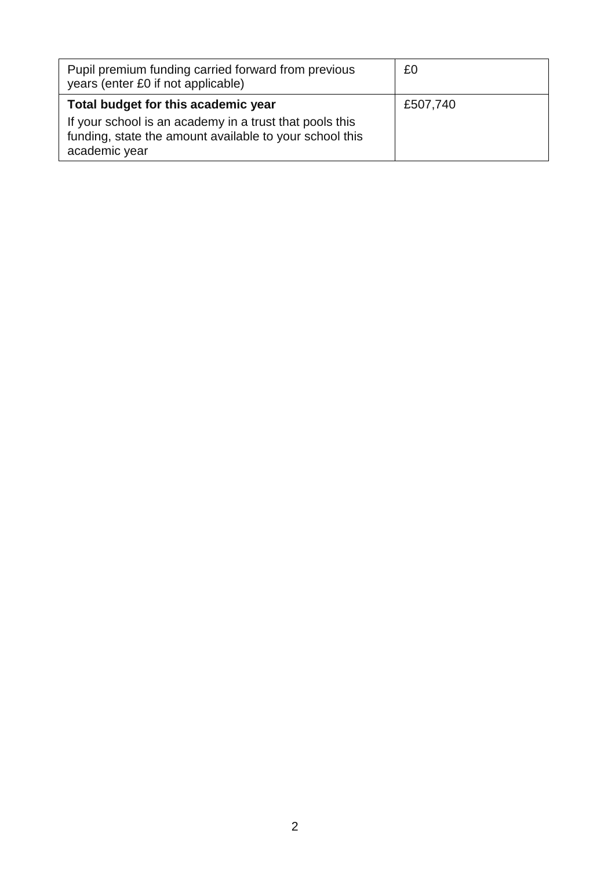| Pupil premium funding carried forward from previous<br>years (enter £0 if not applicable)                                                                                  | £0       |
|----------------------------------------------------------------------------------------------------------------------------------------------------------------------------|----------|
| Total budget for this academic year<br>If your school is an academy in a trust that pools this<br>funding, state the amount available to your school this<br>academic year | £507,740 |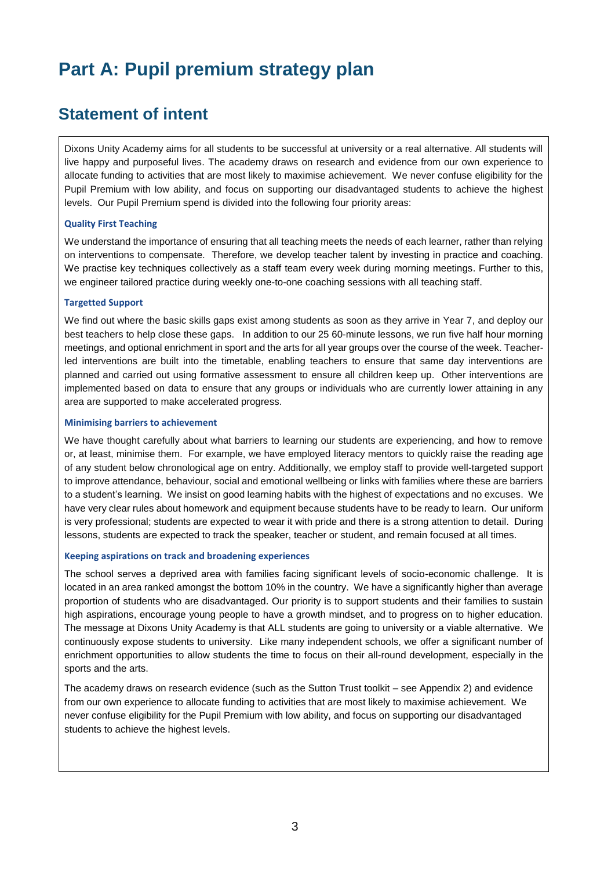# **Part A: Pupil premium strategy plan**

#### **Statement of intent**

Dixons Unity Academy aims for all students to be successful at university or a real alternative. All students will live happy and purposeful lives. The academy draws on research and evidence from our own experience to allocate funding to activities that are most likely to maximise achievement. We never confuse eligibility for the Pupil Premium with low ability, and focus on supporting our disadvantaged students to achieve the highest levels. Our Pupil Premium spend is divided into the following four priority areas:

#### **Quality First Teaching**

We understand the importance of ensuring that all teaching meets the needs of each learner, rather than relying on interventions to compensate. Therefore, we develop teacher talent by investing in practice and coaching. We practise key techniques collectively as a staff team every week during morning meetings. Further to this, we engineer tailored practice during weekly one-to-one coaching sessions with all teaching staff.

#### **Targetted Support**

We find out where the basic skills gaps exist among students as soon as they arrive in Year 7, and deploy our best teachers to help close these gaps. In addition to our 25 60-minute lessons, we run five half hour morning meetings, and optional enrichment in sport and the arts for all year groups over the course of the week. Teacherled interventions are built into the timetable, enabling teachers to ensure that same day interventions are planned and carried out using formative assessment to ensure all children keep up. Other interventions are implemented based on data to ensure that any groups or individuals who are currently lower attaining in any area are supported to make accelerated progress.

#### **Minimising barriers to achievement**

We have thought carefully about what barriers to learning our students are experiencing, and how to remove or, at least, minimise them. For example, we have employed literacy mentors to quickly raise the reading age of any student below chronological age on entry. Additionally, we employ staff to provide well-targeted support to improve attendance, behaviour, social and emotional wellbeing or links with families where these are barriers to a student's learning. We insist on good learning habits with the highest of expectations and no excuses. We have very clear rules about homework and equipment because students have to be ready to learn. Our uniform is very professional; students are expected to wear it with pride and there is a strong attention to detail. During lessons, students are expected to track the speaker, teacher or student, and remain focused at all times.

#### **Keeping aspirations on track and broadening experiences**

The school serves a deprived area with families facing significant levels of socio-economic challenge. It is located in an area ranked amongst the bottom 10% in the country. We have a significantly higher than average proportion of students who are disadvantaged. Our priority is to support students and their families to sustain high aspirations, encourage young people to have a growth mindset, and to progress on to higher education. The message at Dixons Unity Academy is that ALL students are going to university or a viable alternative. We continuously expose students to university. Like many independent schools, we offer a significant number of enrichment opportunities to allow students the time to focus on their all-round development, especially in the sports and the arts.

The academy draws on research evidence (such as the Sutton Trust toolkit – see Appendix 2) and evidence from our own experience to allocate funding to activities that are most likely to maximise achievement. We never confuse eligibility for the Pupil Premium with low ability, and focus on supporting our disadvantaged students to achieve the highest levels.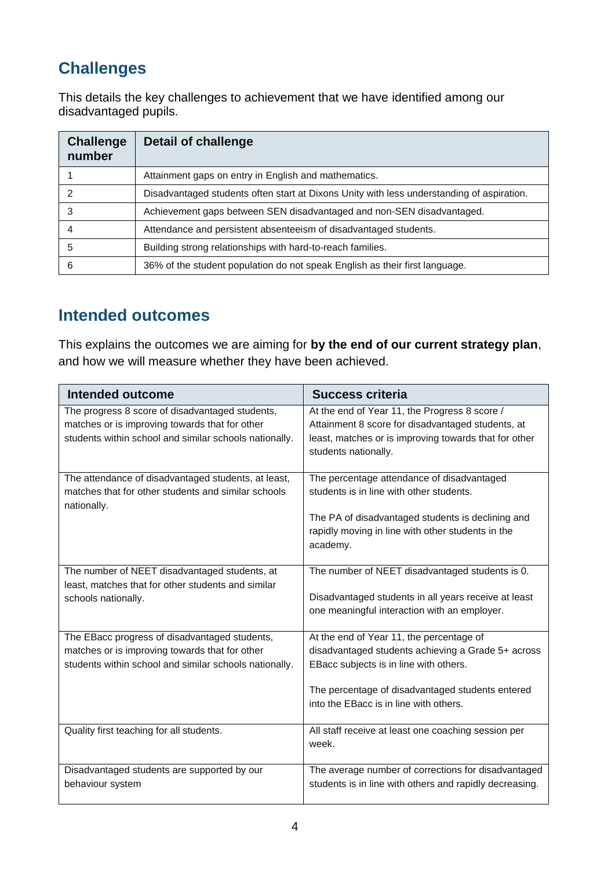## **Challenges**

This details the key challenges to achievement that we have identified among our disadvantaged pupils.

| <b>Challenge</b><br>number | <b>Detail of challenge</b>                                                                |
|----------------------------|-------------------------------------------------------------------------------------------|
|                            | Attainment gaps on entry in English and mathematics.                                      |
| 2                          | Disadvantaged students often start at Dixons Unity with less understanding of aspiration. |
| 3                          | Achievement gaps between SEN disadvantaged and non-SEN disadvantaged.                     |
|                            | Attendance and persistent absenteeism of disadvantaged students.                          |
| 5                          | Building strong relationships with hard-to-reach families.                                |
| 6                          | 36% of the student population do not speak English as their first language.               |

### **Intended outcomes**

This explains the outcomes we are aiming for **by the end of our current strategy plan**, and how we will measure whether they have been achieved.

| <b>Intended outcome</b>                                                                                                                                     | <b>Success criteria</b>                                                                                                                                                                                                                |
|-------------------------------------------------------------------------------------------------------------------------------------------------------------|----------------------------------------------------------------------------------------------------------------------------------------------------------------------------------------------------------------------------------------|
| The progress 8 score of disadvantaged students,<br>matches or is improving towards that for other<br>students within school and similar schools nationally. | At the end of Year 11, the Progress 8 score /<br>Attainment 8 score for disadvantaged students, at<br>least, matches or is improving towards that for other<br>students nationally.                                                    |
| The attendance of disadvantaged students, at least,<br>matches that for other students and similar schools<br>nationally.                                   | The percentage attendance of disadvantaged<br>students is in line with other students.<br>The PA of disadvantaged students is declining and<br>rapidly moving in line with other students in the<br>academy.                           |
| The number of NEET disadvantaged students, at<br>least, matches that for other students and similar<br>schools nationally.                                  | The number of NEET disadvantaged students is 0.<br>Disadvantaged students in all years receive at least<br>one meaningful interaction with an employer.                                                                                |
| The EBacc progress of disadvantaged students,<br>matches or is improving towards that for other<br>students within school and similar schools nationally.   | At the end of Year 11, the percentage of<br>disadvantaged students achieving a Grade 5+ across<br>EBacc subjects is in line with others.<br>The percentage of disadvantaged students entered<br>into the EBacc is in line with others. |
| Quality first teaching for all students.                                                                                                                    | All staff receive at least one coaching session per<br>week.                                                                                                                                                                           |
| Disadvantaged students are supported by our<br>behaviour system                                                                                             | The average number of corrections for disadvantaged<br>students is in line with others and rapidly decreasing.                                                                                                                         |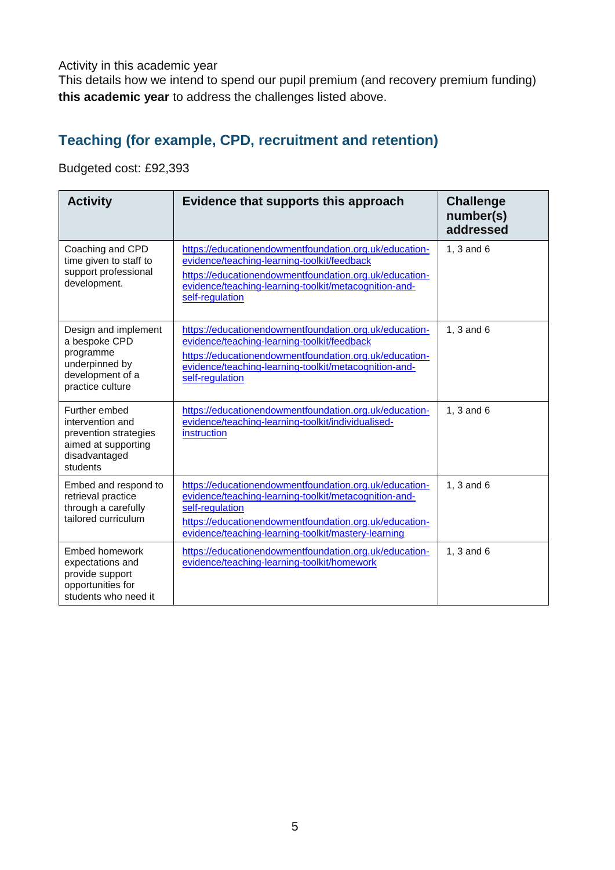Activity in this academic year

This details how we intend to spend our pupil premium (and recovery premium funding) **this academic year** to address the challenges listed above.

#### **Teaching (for example, CPD, recruitment and retention)**

Budgeted cost: £92,393

| <b>Activity</b>                                                                                                | Evidence that supports this approach                                                                                                                                                                                                                | <b>Challenge</b><br>number(s)<br>addressed |
|----------------------------------------------------------------------------------------------------------------|-----------------------------------------------------------------------------------------------------------------------------------------------------------------------------------------------------------------------------------------------------|--------------------------------------------|
| Coaching and CPD<br>time given to staff to<br>support professional<br>development.                             | https://educationendowmentfoundation.org.uk/education-<br>evidence/teaching-learning-toolkit/feedback<br>https://educationendowmentfoundation.org.uk/education-<br>evidence/teaching-learning-toolkit/metacognition-and-<br>self-regulation         | 1, $3$ and $6$                             |
| Design and implement<br>a bespoke CPD<br>programme<br>underpinned by<br>development of a<br>practice culture   | https://educationendowmentfoundation.org.uk/education-<br>evidence/teaching-learning-toolkit/feedback<br>https://educationendowmentfoundation.org.uk/education-<br>evidence/teaching-learning-toolkit/metacognition-and-<br>self-regulation         | 1, $3$ and $6$                             |
| Further embed<br>intervention and<br>prevention strategies<br>aimed at supporting<br>disadvantaged<br>students | https://educationendowmentfoundation.org.uk/education-<br>evidence/teaching-learning-toolkit/individualised-<br>instruction                                                                                                                         | 1, 3 and 6                                 |
| Embed and respond to<br>retrieval practice<br>through a carefully<br>tailored curriculum                       | https://educationendowmentfoundation.org.uk/education-<br>evidence/teaching-learning-toolkit/metacognition-and-<br>self-regulation<br>https://educationendowmentfoundation.org.uk/education-<br>evidence/teaching-learning-toolkit/mastery-learning | 1, 3 and 6                                 |
| Embed homework<br>expectations and<br>provide support<br>opportunities for<br>students who need it             | https://educationendowmentfoundation.org.uk/education-<br>evidence/teaching-learning-toolkit/homework                                                                                                                                               | 1, 3 and 6                                 |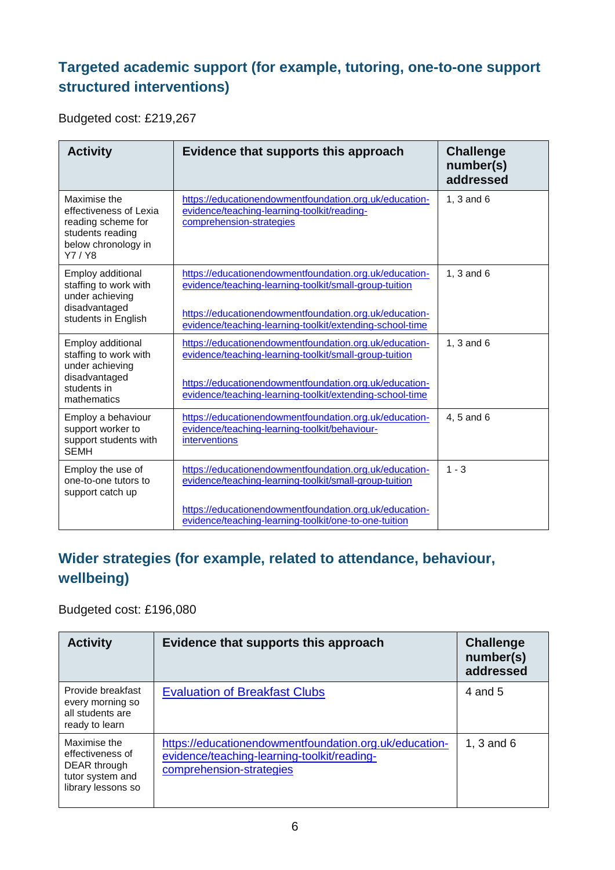### **Targeted academic support (for example, tutoring, one-to-one support structured interventions)**

Budgeted cost: £219,267

| <b>Activity</b>                                                                                                  | Evidence that supports this approach                                                                                                                                                                                                   | <b>Challenge</b><br>number(s)<br>addressed |
|------------------------------------------------------------------------------------------------------------------|----------------------------------------------------------------------------------------------------------------------------------------------------------------------------------------------------------------------------------------|--------------------------------------------|
| Maximise the<br>effectiveness of Lexia<br>reading scheme for<br>students reading<br>below chronology in<br>Y7/Y8 | https://educationendowmentfoundation.org.uk/education-<br>evidence/teaching-learning-toolkit/reading-<br>comprehension-strategies                                                                                                      | 1, $3$ and $6$                             |
| Employ additional<br>staffing to work with<br>under achieving<br>disadvantaged<br>students in English            | https://educationendowmentfoundation.org.uk/education-<br>evidence/teaching-learning-toolkit/small-group-tuition<br>https://educationendowmentfoundation.org.uk/education-<br>evidence/teaching-learning-toolkit/extending-school-time | 1, $3$ and $6$                             |
| Employ additional<br>staffing to work with<br>under achieving<br>disadvantaged<br>students in<br>mathematics     | https://educationendowmentfoundation.org.uk/education-<br>evidence/teaching-learning-toolkit/small-group-tuition<br>https://educationendowmentfoundation.org.uk/education-<br>evidence/teaching-learning-toolkit/extending-school-time | 1, $3$ and $6$                             |
| Employ a behaviour<br>support worker to<br>support students with<br><b>SEMH</b>                                  | https://educationendowmentfoundation.org.uk/education-<br>evidence/teaching-learning-toolkit/behaviour-<br>interventions                                                                                                               | 4, 5 and 6                                 |
| Employ the use of<br>one-to-one tutors to<br>support catch up                                                    | https://educationendowmentfoundation.org.uk/education-<br>evidence/teaching-learning-toolkit/small-group-tuition<br>https://educationendowmentfoundation.org.uk/education-<br>evidence/teaching-learning-toolkit/one-to-one-tuition    | $1 - 3$                                    |

### **Wider strategies (for example, related to attendance, behaviour, wellbeing)**

Budgeted cost: £196,080

| <b>Activity</b>                                                                            | Evidence that supports this approach                                                                                              | <b>Challenge</b><br>number(s)<br>addressed |
|--------------------------------------------------------------------------------------------|-----------------------------------------------------------------------------------------------------------------------------------|--------------------------------------------|
| Provide breakfast<br>every morning so<br>all students are<br>ready to learn                | <b>Evaluation of Breakfast Clubs</b>                                                                                              | 4 and 5                                    |
| Maximise the<br>effectiveness of<br>DEAR through<br>tutor system and<br>library lessons so | https://educationendowmentfoundation.org.uk/education-<br>evidence/teaching-learning-toolkit/reading-<br>comprehension-strategies | 1, $3$ and $6$                             |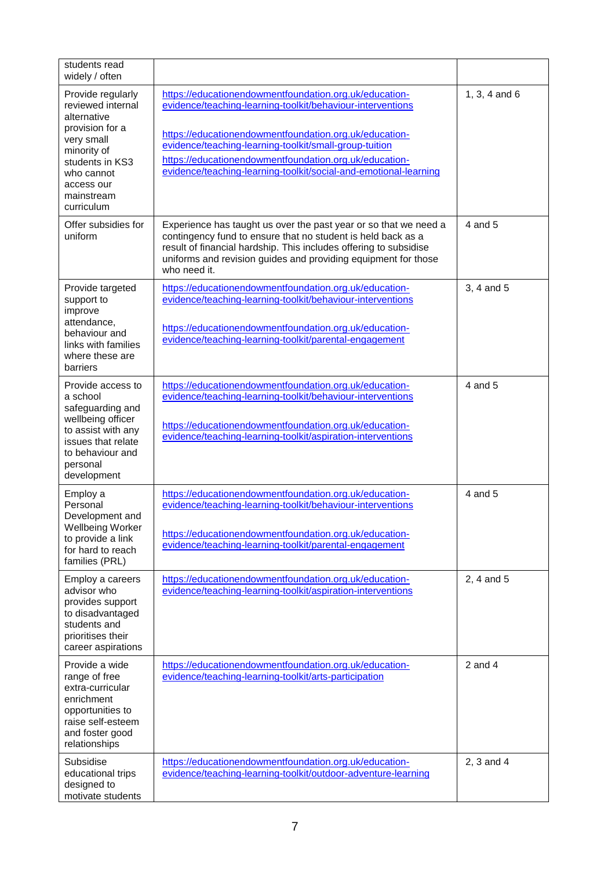| students read<br>widely / often                                                                                                                                                  |                                                                                                                                                                                                                                                                                                                                                                        |                 |
|----------------------------------------------------------------------------------------------------------------------------------------------------------------------------------|------------------------------------------------------------------------------------------------------------------------------------------------------------------------------------------------------------------------------------------------------------------------------------------------------------------------------------------------------------------------|-----------------|
| Provide regularly<br>reviewed internal<br>alternative<br>provision for a<br>very small<br>minority of<br>students in KS3<br>who cannot<br>access our<br>mainstream<br>curriculum | https://educationendowmentfoundation.org.uk/education-<br>evidence/teaching-learning-toolkit/behaviour-interventions<br>https://educationendowmentfoundation.org.uk/education-<br>evidence/teaching-learning-toolkit/small-group-tuition<br>https://educationendowmentfoundation.org.uk/education-<br>evidence/teaching-learning-toolkit/social-and-emotional-learning | 1, 3, 4 and $6$ |
| Offer subsidies for<br>uniform                                                                                                                                                   | Experience has taught us over the past year or so that we need a<br>contingency fund to ensure that no student is held back as a<br>result of financial hardship. This includes offering to subsidise<br>uniforms and revision guides and providing equipment for those<br>who need it.                                                                                | $4$ and $5$     |
| Provide targeted<br>support to<br>improve<br>attendance,<br>behaviour and<br>links with families<br>where these are<br>barriers                                                  | https://educationendowmentfoundation.org.uk/education-<br>evidence/teaching-learning-toolkit/behaviour-interventions<br>https://educationendowmentfoundation.org.uk/education-<br>evidence/teaching-learning-toolkit/parental-engagement                                                                                                                               | 3, 4 and 5      |
| Provide access to<br>a school<br>safeguarding and<br>wellbeing officer<br>to assist with any<br>issues that relate<br>to behaviour and<br>personal<br>development                | https://educationendowmentfoundation.org.uk/education-<br>evidence/teaching-learning-toolkit/behaviour-interventions<br>https://educationendowmentfoundation.org.uk/education-<br>evidence/teaching-learning-toolkit/aspiration-interventions                                                                                                                          | 4 and 5         |
| Employ a<br>Personal<br>Development and<br><b>Wellbeing Worker</b><br>to provide a link<br>for hard to reach<br>families (PRL)                                                   | https://educationendowmentfoundation.org.uk/education-<br>evidence/teaching-learning-toolkit/behaviour-interventions<br>https://educationendowmentfoundation.org.uk/education-<br>evidence/teaching-learning-toolkit/parental-engagement                                                                                                                               | 4 and 5         |
| Employ a careers<br>advisor who<br>provides support<br>to disadvantaged<br>students and<br>prioritises their<br>career aspirations                                               | https://educationendowmentfoundation.org.uk/education-<br>evidence/teaching-learning-toolkit/aspiration-interventions                                                                                                                                                                                                                                                  | 2, 4 and 5      |
| Provide a wide<br>range of free<br>extra-curricular<br>enrichment<br>opportunities to<br>raise self-esteem<br>and foster good<br>relationships                                   | https://educationendowmentfoundation.org.uk/education-<br>evidence/teaching-learning-toolkit/arts-participation                                                                                                                                                                                                                                                        | $2$ and $4$     |
| Subsidise<br>educational trips<br>designed to<br>motivate students                                                                                                               | https://educationendowmentfoundation.org.uk/education-<br>evidence/teaching-learning-toolkit/outdoor-adventure-learning                                                                                                                                                                                                                                                | 2, 3 and 4      |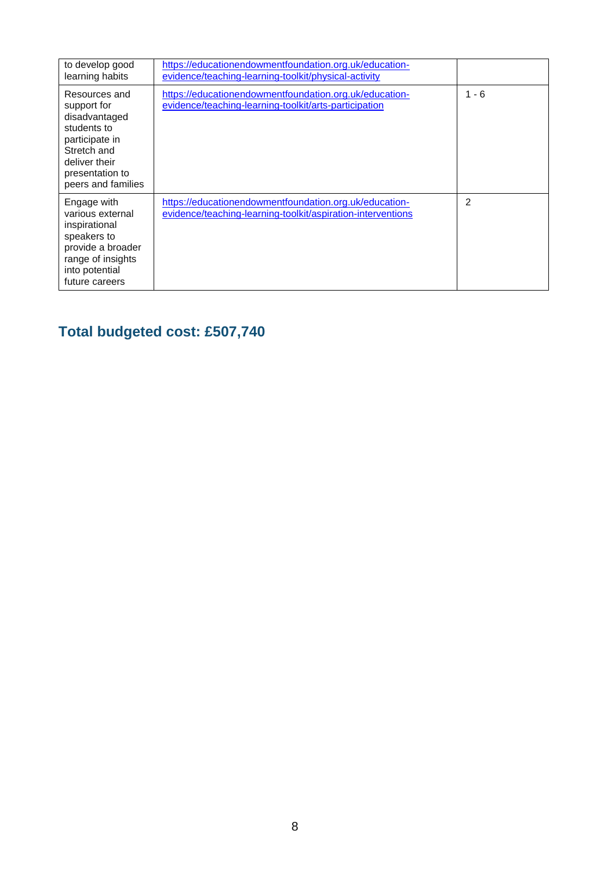| to develop good<br>learning habits                                                                                                                      | https://educationendowmentfoundation.org.uk/education-<br>evidence/teaching-learning-toolkit/physical-activity        |                |
|---------------------------------------------------------------------------------------------------------------------------------------------------------|-----------------------------------------------------------------------------------------------------------------------|----------------|
| Resources and<br>support for<br>disadvantaged<br>students to<br>participate in<br>Stretch and<br>deliver their<br>presentation to<br>peers and families | https://educationendowmentfoundation.org.uk/education-<br>evidence/teaching-learning-toolkit/arts-participation       | - 6            |
| Engage with<br>various external<br>inspirational<br>speakers to<br>provide a broader<br>range of insights<br>into potential<br>future careers           | https://educationendowmentfoundation.org.uk/education-<br>evidence/teaching-learning-toolkit/aspiration-interventions | $\mathfrak{p}$ |

## **Total budgeted cost: £507,740**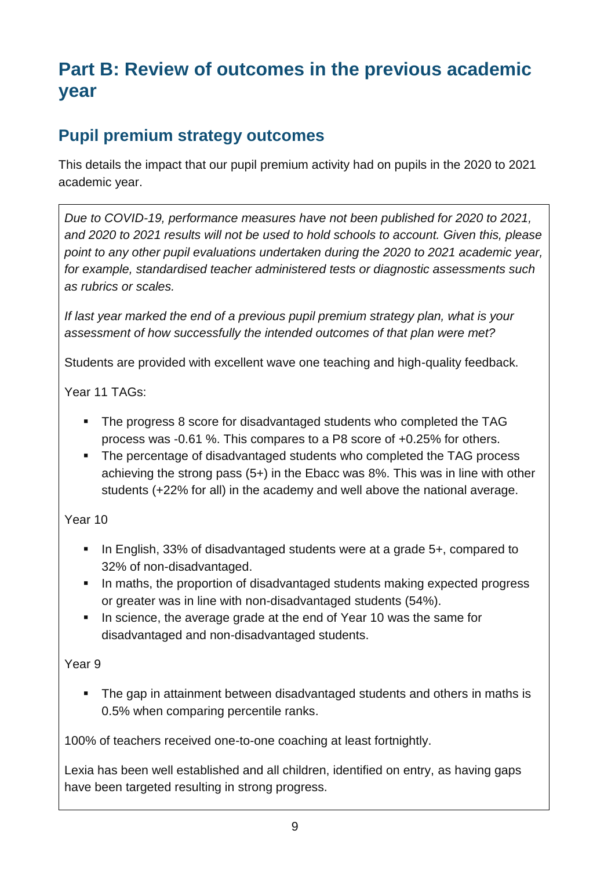# **Part B: Review of outcomes in the previous academic year**

### **Pupil premium strategy outcomes**

This details the impact that our pupil premium activity had on pupils in the 2020 to 2021 academic year.

*Due to COVID-19, performance measures have not been published for 2020 to 2021, and 2020 to 2021 results will not be used to hold schools to account. Given this, please point to any other pupil evaluations undertaken during the 2020 to 2021 academic year, for example, standardised teacher administered tests or diagnostic assessments such as rubrics or scales.*

*If last year marked the end of a previous pupil premium strategy plan, what is your assessment of how successfully the intended outcomes of that plan were met?* 

Students are provided with excellent wave one teaching and high-quality feedback.

Year 11 TAGs:

- The progress 8 score for disadvantaged students who completed the TAG process was -0.61 %. This compares to a P8 score of +0.25% for others.
- The percentage of disadvantaged students who completed the TAG process achieving the strong pass (5+) in the Ebacc was 8%. This was in line with other students (+22% for all) in the academy and well above the national average.

Year 10

- In English, 33% of disadvantaged students were at a grade 5+, compared to 32% of non-disadvantaged.
- In maths, the proportion of disadvantaged students making expected progress or greater was in line with non-disadvantaged students (54%).
- In science, the average grade at the end of Year 10 was the same for disadvantaged and non-disadvantaged students.

Year 9

• The gap in attainment between disadvantaged students and others in maths is 0.5% when comparing percentile ranks.

100% of teachers received one-to-one coaching at least fortnightly.

Lexia has been well established and all children, identified on entry, as having gaps have been targeted resulting in strong progress.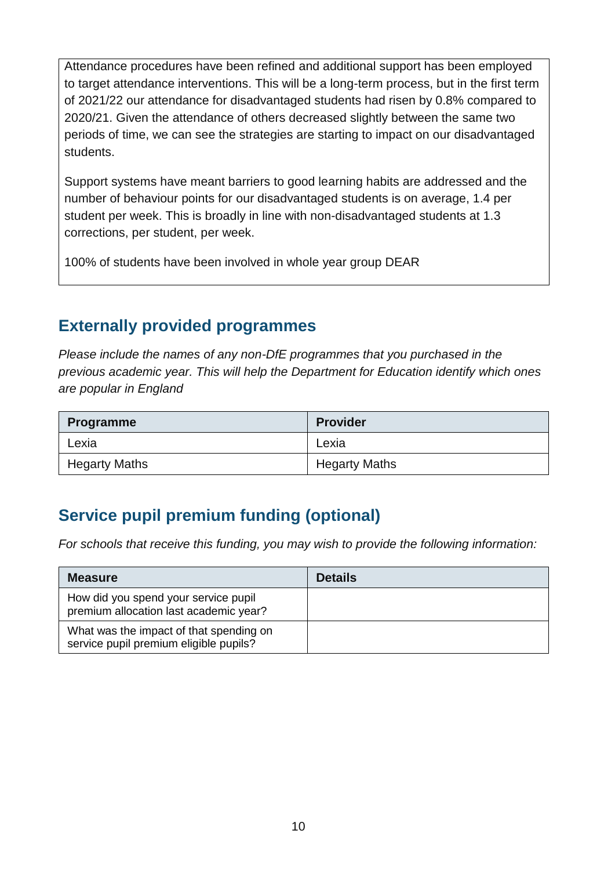Attendance procedures have been refined and additional support has been employed to target attendance interventions. This will be a long-term process, but in the first term of 2021/22 our attendance for disadvantaged students had risen by 0.8% compared to 2020/21. Given the attendance of others decreased slightly between the same two periods of time, we can see the strategies are starting to impact on our disadvantaged students.

Support systems have meant barriers to good learning habits are addressed and the number of behaviour points for our disadvantaged students is on average, 1.4 per student per week. This is broadly in line with non-disadvantaged students at 1.3 corrections, per student, per week.

100% of students have been involved in whole year group DEAR

#### **Externally provided programmes**

*Please include the names of any non-DfE programmes that you purchased in the previous academic year. This will help the Department for Education identify which ones are popular in England*

| <b>Programme</b>     | <b>Provider</b>      |
|----------------------|----------------------|
| Lexia                | Lexia                |
| <b>Hegarty Maths</b> | <b>Hegarty Maths</b> |

## **Service pupil premium funding (optional)**

*For schools that receive this funding, you may wish to provide the following information:* 

| <b>Measure</b>                                                                    | <b>Details</b> |
|-----------------------------------------------------------------------------------|----------------|
| How did you spend your service pupil<br>premium allocation last academic year?    |                |
| What was the impact of that spending on<br>service pupil premium eligible pupils? |                |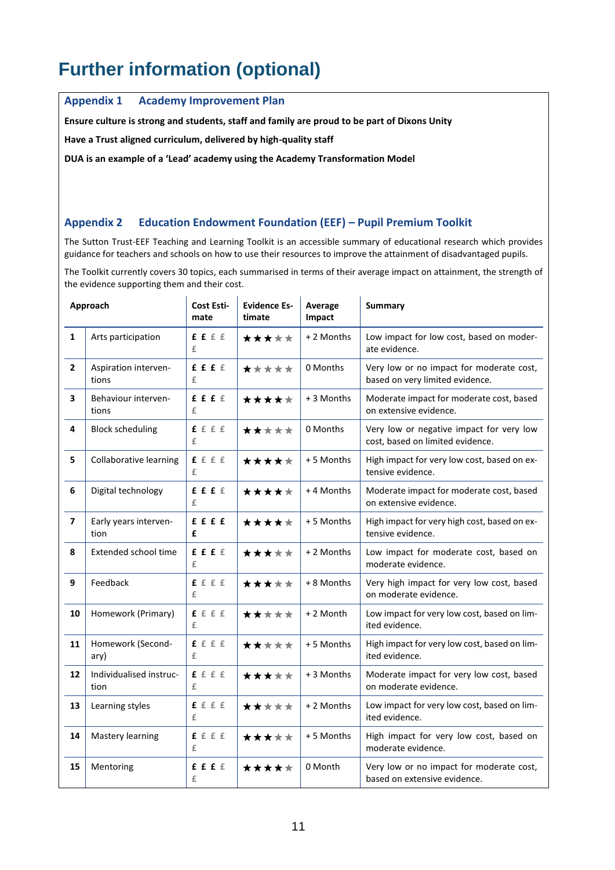# **Further information (optional)**

**Appendix 1 Academy Improvement Plan**

**Ensure culture is strong and students, staff and family are proud to be part of Dixons Unity**

**Have a Trust aligned curriculum, delivered by high-quality staff**

**DUA is an example of a 'Lead' academy using the Academy Transformation Model**

#### **Appendix 2 Education Endowment Foundation (EEF) – Pupil Premium Toolkit**

The Sutton Trust-EEF Teaching and Learning Toolkit is an accessible summary of educational research which provides guidance for teachers and schools on how to use their resources to improve the attainment of disadvantaged pupils.

The Toolkit currently covers 30 topics, each summarised in terms of their average impact on attainment, the strength of the evidence supporting them and their cost.

| Approach                |                                 | Cost Esti-<br>mate | <b>Evidence Es-</b><br>timate | Average<br>Impact | <b>Summary</b>                                                               |
|-------------------------|---------------------------------|--------------------|-------------------------------|-------------------|------------------------------------------------------------------------------|
| $\mathbf{1}$            | Arts participation              | f f f f<br>£       | *****                         | + 2 Months        | Low impact for low cost, based on moder-<br>ate evidence.                    |
| $\overline{2}$          | Aspiration interven-<br>tions   | f f f f<br>£       | *****                         | 0 Months          | Very low or no impact for moderate cost,<br>based on very limited evidence.  |
| 3                       | Behaviour interven-<br>tions    | f f f f<br>£       | *****                         | + 3 Months        | Moderate impact for moderate cost, based<br>on extensive evidence.           |
| 4                       | <b>Block scheduling</b>         | f f f f<br>£       | *****                         | 0 Months          | Very low or negative impact for very low<br>cost, based on limited evidence. |
| 5                       | Collaborative learning          | f f f f<br>£       | *****                         | +5 Months         | High impact for very low cost, based on ex-<br>tensive evidence.             |
| 6                       | Digital technology              | £ £ £ €<br>£       | *****                         | +4 Months         | Moderate impact for moderate cost, based<br>on extensive evidence.           |
| $\overline{\mathbf{z}}$ | Early years interven-<br>tion   | ffff<br>£          | *****                         | + 5 Months        | High impact for very high cost, based on ex-<br>tensive evidence.            |
| 8                       | Extended school time            | ffff<br>£          | *****                         | + 2 Months        | Low impact for moderate cost, based on<br>moderate evidence.                 |
| 9                       | Feedback                        | f f f f<br>£       | *****                         | + 8 Months        | Very high impact for very low cost, based<br>on moderate evidence.           |
| 10                      | Homework (Primary)              | ffff<br>£          | *****                         | + 2 Month         | Low impact for very low cost, based on lim-<br>ited evidence.                |
| 11                      | Homework (Second-<br>ary)       | f f f f<br>£       | *****                         | +5 Months         | High impact for very low cost, based on lim-<br>ited evidence.               |
| 12                      | Individualised instruc-<br>tion | f f f f<br>£       | *****                         | + 3 Months        | Moderate impact for very low cost, based<br>on moderate evidence.            |
| 13                      | Learning styles                 | f f f f<br>£       | *****                         | + 2 Months        | Low impact for very low cost, based on lim-<br>ited evidence.                |
| 14                      | <b>Mastery learning</b>         | f f f f<br>£       | *****                         | +5 Months         | High impact for very low cost, based on<br>moderate evidence.                |
| 15                      | Mentoring                       | f f f f<br>£       | *****                         | 0 Month           | Very low or no impact for moderate cost,<br>based on extensive evidence.     |